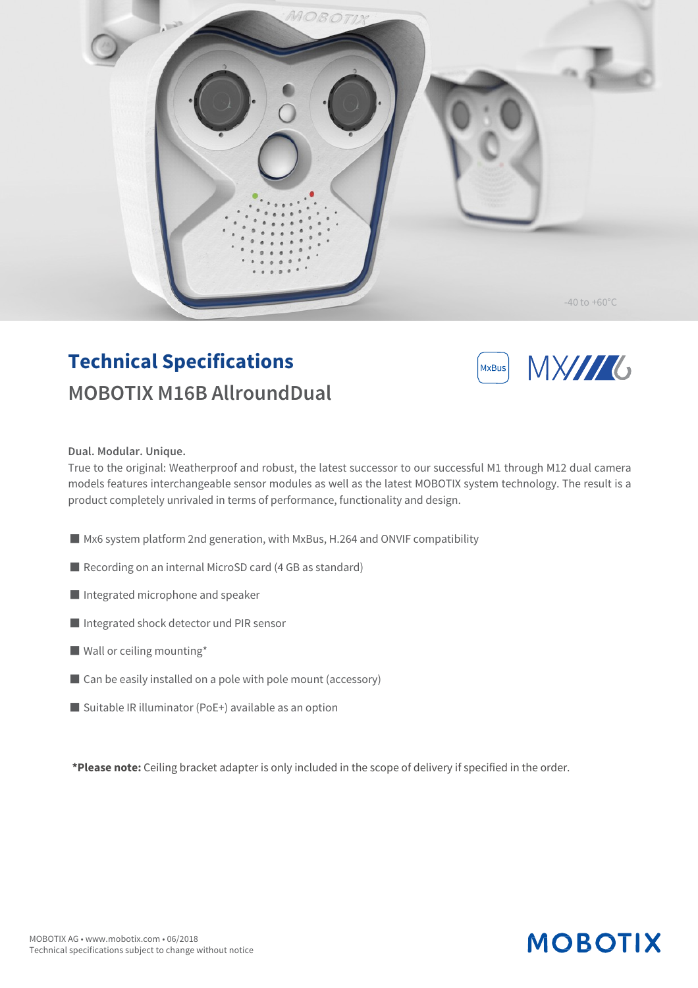

### **Technical Specifications MOBOTIX M16B AllroundDual**



#### **Dual. Modular. Unique.**

True to the original: Weatherproof and robust, the latest successor to our successful M1 through M12 dual camera models features interchangeable sensor modules as well as the latest MOBOTIX system technology. The result is a product completely unrivaled in terms of performance, functionality and design.

- Mx6 system platform 2nd generation, with MxBus, H.264 and ONVIF compatibility
- Recording on an internal MicroSD card (4 GB as standard)
- Integrated microphone and speaker
- Integrated shock detector und PIR sensor
- Wall or ceiling mounting\*
- Can be easily installed on a pole with pole mount (accessory)
- $\blacksquare$  Suitable IR illuminator (PoE+) available as an option

**\*Please note:** Ceiling bracket adapter is only included in the scope of delivery if specified in the order.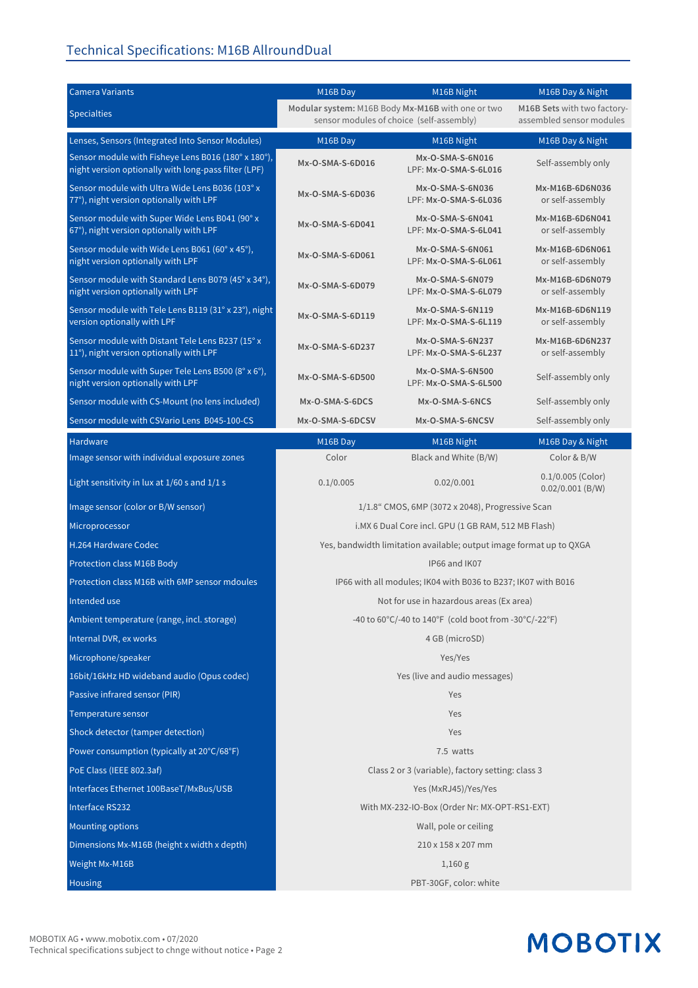#### Technical Specifications: M16B AllroundDual

| <b>Camera Variants</b>                                                                                      | M16B Day                                                                                                                                                 | M16B Night                                | M16B Day & Night                          |
|-------------------------------------------------------------------------------------------------------------|----------------------------------------------------------------------------------------------------------------------------------------------------------|-------------------------------------------|-------------------------------------------|
| <b>Specialties</b>                                                                                          | Modular system: M16B Body Mx-M16B with one or two<br>M16B Sets with two factory-<br>assembled sensor modules<br>sensor modules of choice (self-assembly) |                                           |                                           |
| Lenses, Sensors (Integrated Into Sensor Modules)                                                            | M16B Day                                                                                                                                                 | M16B Night                                | M16B Day & Night                          |
| Sensor module with Fisheye Lens B016 (180° x 180°),<br>night version optionally with long-pass filter (LPF) | Mx-O-SMA-S-6D016                                                                                                                                         | Mx-O-SMA-S-6N016<br>LPF: Mx-O-SMA-S-6L016 | Self-assembly only                        |
| Sensor module with Ultra Wide Lens B036 (103° x<br>77°), night version optionally with LPF                  | Mx-O-SMA-S-6D036                                                                                                                                         | Mx-O-SMA-S-6N036<br>LPF: Mx-O-SMA-S-6L036 | Mx-M16B-6D6N036<br>or self-assembly       |
| Sensor module with Super Wide Lens B041 (90° x<br>67°), night version optionally with LPF                   | Mx-O-SMA-S-6D041                                                                                                                                         | Mx-O-SMA-S-6N041<br>LPF: Mx-O-SMA-S-6L041 | Mx-M16B-6D6N041<br>or self-assembly       |
| Sensor module with Wide Lens B061 (60° x 45°),<br>night version optionally with LPF                         | Mx-O-SMA-S-6D061                                                                                                                                         | Mx-O-SMA-S-6N061<br>LPF: Mx-O-SMA-S-6L061 | Mx-M16B-6D6N061<br>or self-assembly       |
| Sensor module with Standard Lens B079 (45° x 34°),<br>night version optionally with LPF                     | Mx-O-SMA-S-6D079                                                                                                                                         | Mx-O-SMA-S-6N079<br>LPF: Mx-O-SMA-S-6L079 | Mx-M16B-6D6N079<br>or self-assembly       |
| Sensor module with Tele Lens B119 (31° x 23°), night<br>version optionally with LPF                         | Mx-O-SMA-S-6D119                                                                                                                                         | Mx-O-SMA-S-6N119<br>LPF: Mx-O-SMA-S-6L119 | Mx-M16B-6D6N119<br>or self-assembly       |
| Sensor module with Distant Tele Lens B237 (15° x<br>11°), night version optionally with LPF                 | Mx-O-SMA-S-6D237                                                                                                                                         | Mx-O-SMA-S-6N237<br>LPF: Mx-O-SMA-S-6L237 | Mx-M16B-6D6N237<br>or self-assembly       |
| Sensor module with Super Tele Lens B500 (8° x 6°),<br>night version optionally with LPF                     | Mx-O-SMA-S-6D500                                                                                                                                         | Mx-O-SMA-S-6N500<br>LPF: Mx-O-SMA-S-6L500 | Self-assembly only                        |
| Sensor module with CS-Mount (no lens included)                                                              | Mx-O-SMA-S-6DCS                                                                                                                                          | Mx-O-SMA-S-6NCS                           | Self-assembly only                        |
| Sensor module with CSVario Lens B045-100-CS                                                                 | Mx-O-SMA-S-6DCSV                                                                                                                                         | Mx-O-SMA-S-6NCSV                          | Self-assembly only                        |
| Hardware                                                                                                    | M16B Day                                                                                                                                                 | M16B Night                                | M16B Day & Night                          |
| Image sensor with individual exposure zones                                                                 | Color                                                                                                                                                    | Black and White (B/W)                     | Color & B/W                               |
| Light sensitivity in lux at 1/60 s and 1/1 s                                                                | 0.1/0.005                                                                                                                                                | 0.02/0.001                                | $0.1/0.005$ (Color)<br>$0.02/0.001$ (B/W) |
| Image sensor (color or B/W sensor)                                                                          | 1/1.8" CMOS, 6MP (3072 x 2048), Progressive Scan                                                                                                         |                                           |                                           |
| Microprocessor                                                                                              | i.MX 6 Dual Core incl. GPU (1 GB RAM, 512 MB Flash)                                                                                                      |                                           |                                           |
| H.264 Hardware Codec                                                                                        | Yes, bandwidth limitation available; output image format up to QXGA                                                                                      |                                           |                                           |
| Protection class M16B Body                                                                                  | IP66 and IK07                                                                                                                                            |                                           |                                           |
| Protection class M16B with 6MP sensor mdoules                                                               | IP66 with all modules; IK04 with B036 to B237; IK07 with B016                                                                                            |                                           |                                           |
| Intended use                                                                                                | Not for use in hazardous areas (Ex area)                                                                                                                 |                                           |                                           |
| Ambient temperature (range, incl. storage)                                                                  | -40 to 60°C/-40 to 140°F (cold boot from -30°C/-22°F)                                                                                                    |                                           |                                           |
| Internal DVR, ex works                                                                                      | 4 GB (microSD)                                                                                                                                           |                                           |                                           |
| Microphone/speaker                                                                                          | Yes/Yes                                                                                                                                                  |                                           |                                           |
| 16bit/16kHz HD wideband audio (Opus codec)                                                                  | Yes (live and audio messages)                                                                                                                            |                                           |                                           |
| Passive infrared sensor (PIR)                                                                               | Yes                                                                                                                                                      |                                           |                                           |
| Temperature sensor                                                                                          | Yes                                                                                                                                                      |                                           |                                           |
| Shock detector (tamper detection)                                                                           | Yes                                                                                                                                                      |                                           |                                           |
| Power consumption (typically at 20°C/68°F)                                                                  | 7.5 watts                                                                                                                                                |                                           |                                           |
| PoE Class (IEEE 802.3af)                                                                                    | Class 2 or 3 (variable), factory setting: class 3                                                                                                        |                                           |                                           |
| Interfaces Ethernet 100BaseT/MxBus/USB                                                                      | Yes (MxRJ45)/Yes/Yes                                                                                                                                     |                                           |                                           |
| Interface RS232                                                                                             | With MX-232-IO-Box (Order Nr: MX-OPT-RS1-EXT)                                                                                                            |                                           |                                           |
| Mounting options                                                                                            | Wall, pole or ceiling                                                                                                                                    |                                           |                                           |
| Dimensions Mx-M16B (height x width x depth)                                                                 | 210 x 158 x 207 mm                                                                                                                                       |                                           |                                           |
| Weight Mx-M16B                                                                                              | 1,160 g                                                                                                                                                  |                                           |                                           |
| Housing                                                                                                     | PBT-30GF, color: white                                                                                                                                   |                                           |                                           |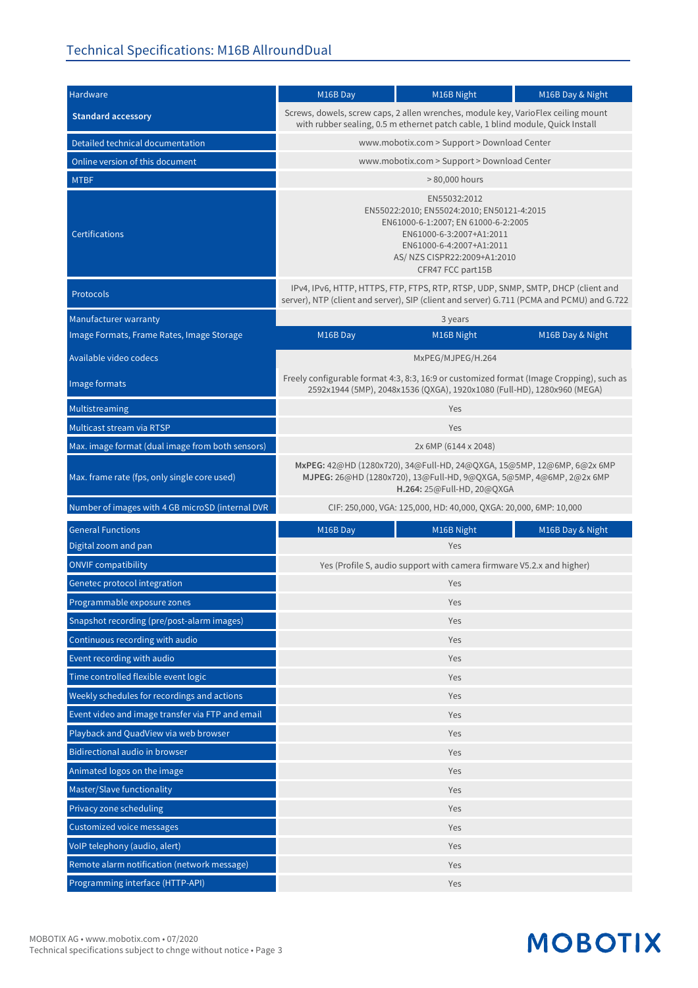| Hardware                                         | M16B Day                                                                                                                                                                                                       | M16B Night        | M16B Day & Night |  |
|--------------------------------------------------|----------------------------------------------------------------------------------------------------------------------------------------------------------------------------------------------------------------|-------------------|------------------|--|
| <b>Standard accessory</b>                        | Screws, dowels, screw caps, 2 allen wrenches, module key, VarioFlex ceiling mount<br>with rubber sealing, 0.5 m ethernet patch cable, 1 blind module, Quick Install                                            |                   |                  |  |
| Detailed technical documentation                 | www.mobotix.com > Support > Download Center                                                                                                                                                                    |                   |                  |  |
| Online version of this document                  | www.mobotix.com > Support > Download Center                                                                                                                                                                    |                   |                  |  |
| <b>MTBF</b>                                      | > 80,000 hours                                                                                                                                                                                                 |                   |                  |  |
| <b>Certifications</b>                            | EN55032:2012<br>EN55022:2010; EN55024:2010; EN50121-4:2015<br>EN61000-6-1:2007; EN 61000-6-2:2005<br>EN61000-6-3:2007+A1:2011<br>EN61000-6-4:2007+A1:2011<br>AS/ NZS CISPR22:2009+A1:2010<br>CFR47 FCC part15B |                   |                  |  |
| <b>Protocols</b>                                 | IPv4, IPv6, HTTP, HTTPS, FTP, FTPS, RTP, RTSP, UDP, SNMP, SMTP, DHCP (client and<br>server), NTP (client and server), SIP (client and server) G.711 (PCMA and PCMU) and G.722                                  |                   |                  |  |
| Manufacturer warranty                            | 3 years                                                                                                                                                                                                        |                   |                  |  |
| Image Formats, Frame Rates, Image Storage        | M16B Day                                                                                                                                                                                                       | M16B Night        | M16B Day & Night |  |
| Available video codecs                           |                                                                                                                                                                                                                | MxPEG/MJPEG/H.264 |                  |  |
| Image formats                                    | Freely configurable format 4:3, 8:3, 16:9 or customized format (Image Cropping), such as<br>2592x1944 (5MP), 2048x1536 (QXGA), 1920x1080 (Full-HD), 1280x960 (MEGA)                                            |                   |                  |  |
| Multistreaming                                   | Yes                                                                                                                                                                                                            |                   |                  |  |
| Multicast stream via RTSP                        | Yes                                                                                                                                                                                                            |                   |                  |  |
| Max. image format (dual image from both sensors) | 2x 6MP (6144 x 2048)                                                                                                                                                                                           |                   |                  |  |
| Max. frame rate (fps, only single core used)     | MxPEG: 42@HD (1280x720), 34@Full-HD, 24@QXGA, 15@5MP, 12@6MP, 6@2x 6MP<br>MJPEG: 26@HD (1280x720), 13@Full-HD, 9@QXGA, 5@5MP, 4@6MP, 2@2x 6MP<br>H.264: 25@Full-HD, 20@QXGA                                    |                   |                  |  |
| Number of images with 4 GB microSD (internal DVR | CIF: 250,000, VGA: 125,000, HD: 40,000, QXGA: 20,000, 6MP: 10,000                                                                                                                                              |                   |                  |  |
| <b>General Functions</b>                         | M16B Day                                                                                                                                                                                                       | M16B Night        | M16B Day & Night |  |
| Digital zoom and pan                             |                                                                                                                                                                                                                | Yes               |                  |  |
| <b>ONVIF compatibility</b>                       | Yes (Profile S, audio support with camera firmware V5.2.x and higher)                                                                                                                                          |                   |                  |  |
| Genetec protocol integration                     | Yes                                                                                                                                                                                                            |                   |                  |  |
| Programmable exposure zones                      | Yes                                                                                                                                                                                                            |                   |                  |  |
| Snapshot recording (pre/post-alarm images)       | Yes                                                                                                                                                                                                            |                   |                  |  |
| Continuous recording with audio                  | Yes                                                                                                                                                                                                            |                   |                  |  |
| Event recording with audio                       | Yes                                                                                                                                                                                                            |                   |                  |  |
| Time controlled flexible event logic             | Yes                                                                                                                                                                                                            |                   |                  |  |
| Weekly schedules for recordings and actions      | Yes                                                                                                                                                                                                            |                   |                  |  |
| Event video and image transfer via FTP and email | Yes                                                                                                                                                                                                            |                   |                  |  |
| Playback and QuadView via web browser            | Yes                                                                                                                                                                                                            |                   |                  |  |
| Bidirectional audio in browser                   | Yes                                                                                                                                                                                                            |                   |                  |  |
| Animated logos on the image                      | Yes                                                                                                                                                                                                            |                   |                  |  |
| Master/Slave functionality                       | Yes                                                                                                                                                                                                            |                   |                  |  |
| Privacy zone scheduling                          | Yes                                                                                                                                                                                                            |                   |                  |  |
| Customized voice messages                        | Yes                                                                                                                                                                                                            |                   |                  |  |
| VoIP telephony (audio, alert)                    | Yes                                                                                                                                                                                                            |                   |                  |  |
| Remote alarm notification (network message)      | Yes                                                                                                                                                                                                            |                   |                  |  |
| Programming interface (HTTP-API)                 | Yes                                                                                                                                                                                                            |                   |                  |  |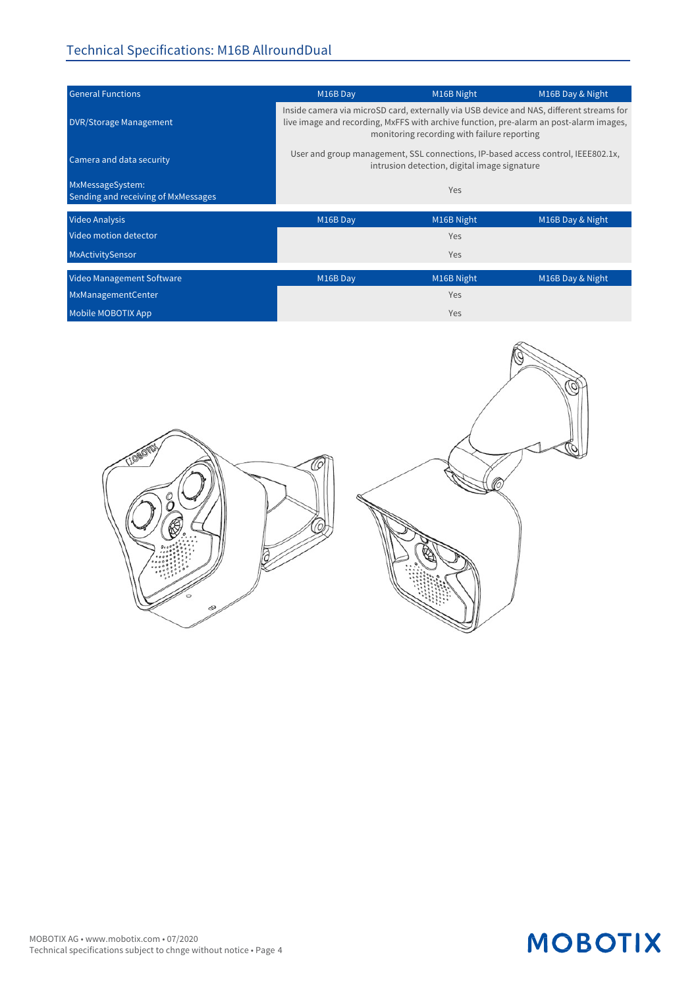#### Technical Specifications: M16B AllroundDual

| <b>General Functions</b>                                | M16B Day                                                                                                                                                                                                                          | M16B Night | M16B Day & Night |  |
|---------------------------------------------------------|-----------------------------------------------------------------------------------------------------------------------------------------------------------------------------------------------------------------------------------|------------|------------------|--|
| <b>DVR/Storage Management</b>                           | Inside camera via microSD card, externally via USB device and NAS, different streams for<br>live image and recording, MxFFS with archive function, pre-alarm an post-alarm images,<br>monitoring recording with failure reporting |            |                  |  |
| Camera and data security                                | User and group management, SSL connections, IP-based access control, IEEE802.1x,<br>intrusion detection, digital image signature                                                                                                  |            |                  |  |
| MxMessageSystem:<br>Sending and receiving of MxMessages | Yes                                                                                                                                                                                                                               |            |                  |  |
| <b>Video Analysis</b>                                   | M16B Day                                                                                                                                                                                                                          | M16B Night | M16B Day & Night |  |
| Video motion detector                                   |                                                                                                                                                                                                                                   | Yes        |                  |  |
| MxActivitySensor                                        |                                                                                                                                                                                                                                   | Yes        |                  |  |
| Video Management Software                               | M16B Day                                                                                                                                                                                                                          | M16B Night | M16B Day & Night |  |
| MxManagementCenter                                      |                                                                                                                                                                                                                                   | Yes        |                  |  |
| Mobile MOBOTIX App                                      |                                                                                                                                                                                                                                   | Yes        |                  |  |

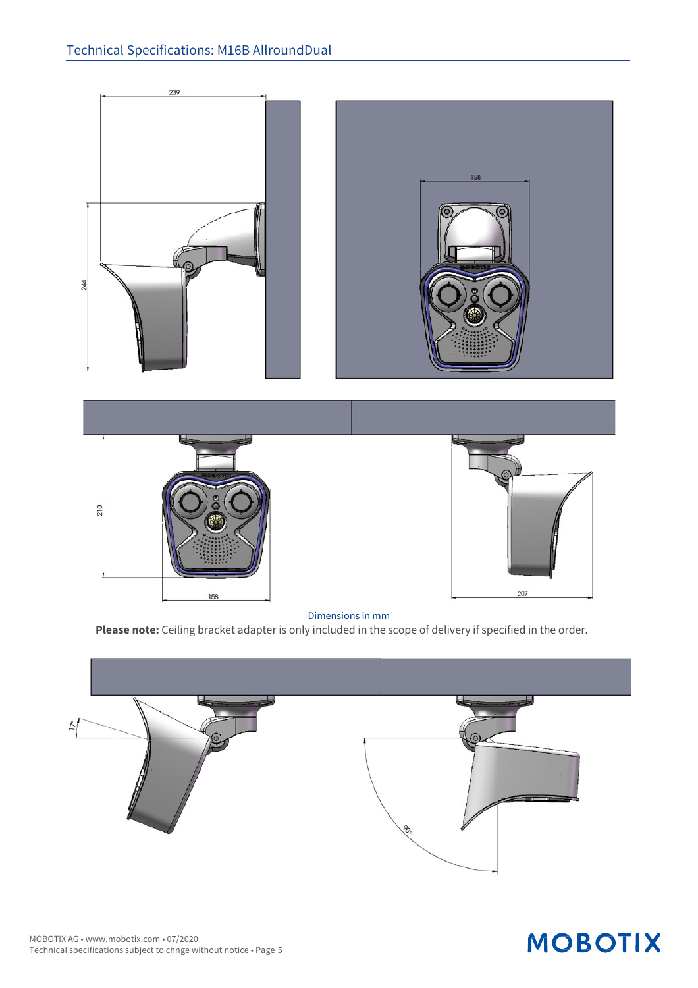

#### Dimensions in mm

**Please note:** Ceiling bracket adapter is only included in the scope of delivery if specified in the order.